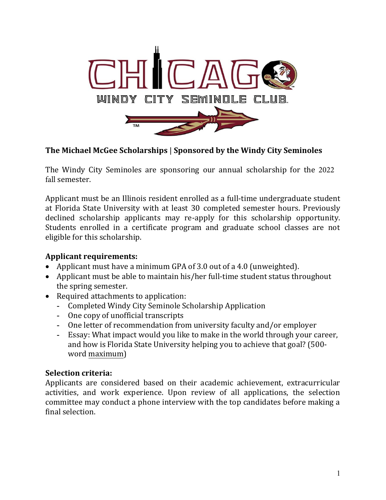

### **The Michael McGee Scholarships** | **Sponsored by the Windy City Seminoles**

The Windy City Seminoles are sponsoring our annual scholarship for the 2022 fall semester.

Applicant must be an Illinois resident enrolled as a full-time undergraduate student at Florida State University with at least 30 completed semester hours. Previously declined scholarship applicants may re-apply for this scholarship opportunity. Students enrolled in a certificate program and graduate school classes are not eligible for this scholarship.

### **Applicant requirements:**

- Applicant must have a minimum GPA of 3.0 out of a 4.0 (unweighted).
- Applicant must be able to maintain his/her full-time student status throughout the spring semester.
- Required attachments to application:
	- **-** Completed Windy City Seminole Scholarship Application
	- **-** One copy of unofficial transcripts
	- **-** One letter of recommendation from university faculty and/or employer
	- **-** Essay: What impact would you like to make in the world through your career, and how is Florida State University helping you to achieve that goal? (500 word maximum)

### **Selection criteria:**

Applicants are considered based on their academic achievement, extracurricular activities, and work experience. Upon review of all applications, the selection committee may conduct a phone interview with the top candidates before making a final selection.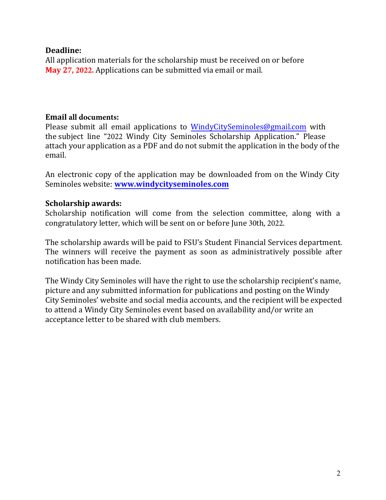### **Deadline:**

All application materials for the scholarship must be received on or before **May 27, 2022.** Applications can be submitted via email or mail.

### **Email all documents:**

Please submit all email applications to [WindyCitySeminoles@gmail.com](mailto:WindyCitySeminoles@gmail.com) with the subject line "2022 Windy City Seminoles Scholarship Application." Please attach your application as a PDF and do not submit the application in the body of the email.

An electronic copy of the application may be downloaded from on the Windy City Seminoles website: **www.windycityseminoles.com** 

### **Scholarship awards:**

Scholarship notifi[cation will come from the selec](http://www.windycityseminoles.com/)tion committee, along with a congratulatory letter, which will be sent on or before June 30th, 2022.

The scholarship awards will be paid to FSU's Student Financial Services department. The winners will receive the payment as soon as administratively possible after notification has been made.

The Windy City Seminoles will have the right to use the scholarship recipient's name, picture and any submitted information for publications and posting on the Windy City Seminoles' website and social media accounts, and the recipient will be expected to attend a Windy City Seminoles event based on availability and/or write an acceptance letter to be shared with club members.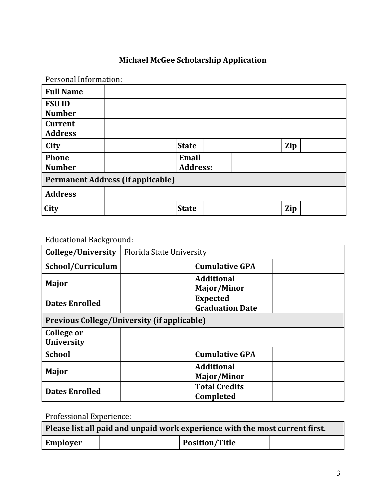# **Michael McGee Scholarship Application**

| Personal Information:                    |  |                 |  |     |  |
|------------------------------------------|--|-----------------|--|-----|--|
| <b>Full Name</b>                         |  |                 |  |     |  |
| <b>FSU ID</b>                            |  |                 |  |     |  |
| <b>Number</b>                            |  |                 |  |     |  |
| <b>Current</b>                           |  |                 |  |     |  |
| <b>Address</b>                           |  |                 |  |     |  |
| City                                     |  | <b>State</b>    |  | Zip |  |
| <b>Phone</b>                             |  | Email           |  |     |  |
| <b>Number</b>                            |  | <b>Address:</b> |  |     |  |
| <b>Permanent Address (If applicable)</b> |  |                 |  |     |  |
| <b>Address</b>                           |  |                 |  |     |  |
| City                                     |  | <b>State</b>    |  | Zip |  |

## Educational Background:

| College/University              | Florida State University                           |  |  |
|---------------------------------|----------------------------------------------------|--|--|
| School/Curriculum               | <b>Cumulative GPA</b>                              |  |  |
| Major                           | <b>Additional</b><br>Major/Minor                   |  |  |
| <b>Dates Enrolled</b>           | <b>Expected</b><br><b>Graduation Date</b>          |  |  |
|                                 | <b>Previous College/University (if applicable)</b> |  |  |
| College or<br><b>University</b> |                                                    |  |  |
| <b>School</b>                   | <b>Cumulative GPA</b>                              |  |  |
| <b>Major</b>                    | <b>Additional</b><br>Major/Minor                   |  |  |
| <b>Dates Enrolled</b>           | <b>Total Credits</b><br><b>Completed</b>           |  |  |

Professional Experience:

| Please list all paid and unpaid work experience with the most current first. |  |                       |  |  |
|------------------------------------------------------------------------------|--|-----------------------|--|--|
| <b>Employer</b>                                                              |  | <b>Position/Title</b> |  |  |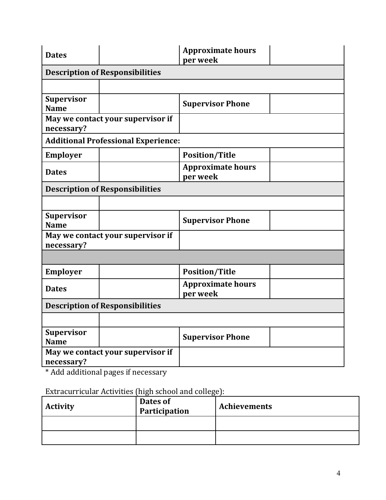| <b>Dates</b>                                    |                                            | <b>Approximate hours</b><br>per week |  |  |
|-------------------------------------------------|--------------------------------------------|--------------------------------------|--|--|
|                                                 | <b>Description of Responsibilities</b>     |                                      |  |  |
|                                                 |                                            |                                      |  |  |
| <b>Supervisor</b><br><b>Name</b>                |                                            | <b>Supervisor Phone</b>              |  |  |
| necessary?                                      | May we contact your supervisor if          |                                      |  |  |
|                                                 | <b>Additional Professional Experience:</b> |                                      |  |  |
| <b>Employer</b>                                 |                                            | <b>Position/Title</b>                |  |  |
| <b>Dates</b>                                    |                                            | <b>Approximate hours</b><br>per week |  |  |
|                                                 | <b>Description of Responsibilities</b>     |                                      |  |  |
|                                                 |                                            |                                      |  |  |
| <b>Supervisor</b><br><b>Name</b>                |                                            | <b>Supervisor Phone</b>              |  |  |
| May we contact your supervisor if<br>necessary? |                                            |                                      |  |  |
|                                                 |                                            |                                      |  |  |
| <b>Employer</b>                                 |                                            | <b>Position/Title</b>                |  |  |
| <b>Dates</b>                                    |                                            | <b>Approximate hours</b><br>per week |  |  |
| <b>Description of Responsibilities</b>          |                                            |                                      |  |  |
|                                                 |                                            |                                      |  |  |
| <b>Supervisor</b><br><b>Name</b>                |                                            | <b>Supervisor Phone</b>              |  |  |
| May we contact your supervisor if<br>necessary? |                                            |                                      |  |  |

\* Add additional pages if necessary

Extracurricular Activities (high school and college):

| <b>Activity</b> | Dates of<br>Participation | Achievements |
|-----------------|---------------------------|--------------|
|                 |                           |              |
|                 |                           |              |